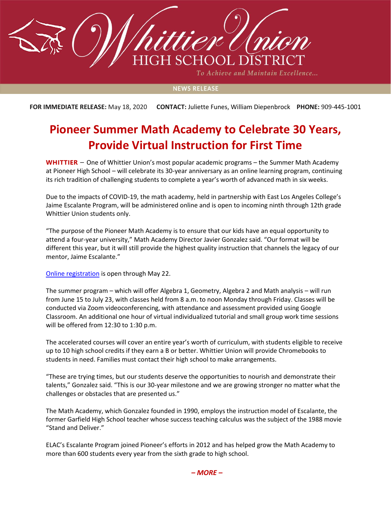

To Achieve and Maintain Excellence...

## **NEWS RELEASE**

**FOR IMMEDIATE RELEASE:** May 18, 2020 **CONTACT:** Juliette Funes, William Diepenbrock **PHONE:** 909-445-1001

## **Pioneer Summer Math Academy to Celebrate 30 Years, Provide Virtual Instruction for First Time**

**WHITTIER** – One of Whittier Union's most popular academic programs – the Summer Math Academy at Pioneer High School – will celebrate its 30-year anniversary as an online learning program, continuing its rich tradition of challenging students to complete a year's worth of advanced math in six weeks.

Due to the impacts of COVID-19, the math academy, held in partnership with East Los Angeles College's Jaime Escalante Program, will be administered online and is open to incoming ninth through 12th grade Whittier Union students only.

"The purpose of the Pioneer Math Academy is to ensure that our kids have an equal opportunity to attend a four-year university," Math Academy Director Javier Gonzalez said. "Our format will be different this year, but it will still provide the highest quality instruction that channels the legacy of our mentor, Jaime Escalante."

[Online registration](https://phs.wuhsd.org/apps/pages/index.jsp?uREC_ID=749934&type=d&pREC_ID=1928079) is open through May 22.

The summer program – which will offer Algebra 1, Geometry, Algebra 2 and Math analysis – will run from June 15 to July 23, with classes held from 8 a.m. to noon Monday through Friday. Classes will be conducted via Zoom videoconferencing, with attendance and assessment provided using Google Classroom. An additional one hour of virtual individualized tutorial and small group work time sessions will be offered from 12:30 to 1:30 p.m.

The accelerated courses will cover an entire year's worth of curriculum, with students eligible to receive up to 10 high school credits if they earn a B or better. Whittier Union will provide Chromebooks to students in need. Families must contact their high school to make arrangements.

"These are trying times, but our students deserve the opportunities to nourish and demonstrate their talents," Gonzalez said. "This is our 30-year milestone and we are growing stronger no matter what the challenges or obstacles that are presented us."

The Math Academy, which Gonzalez founded in 1990, employs the instruction model of Escalante, the former Garfield High School teacher whose success teaching calculus was the subject of the 1988 movie "Stand and Deliver."

ELAC's Escalante Program joined Pioneer's efforts in 2012 and has helped grow the Math Academy to more than 600 students every year from the sixth grade to high school.